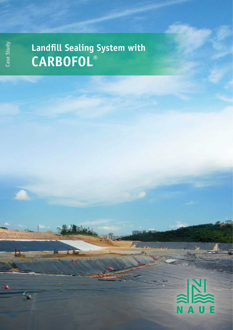## **Case Study**

## **Landfill Sealing System with CARBOFOL®**

## N A  $\bf U$ p

Mars

 $\overline{\mathbb{R}}$